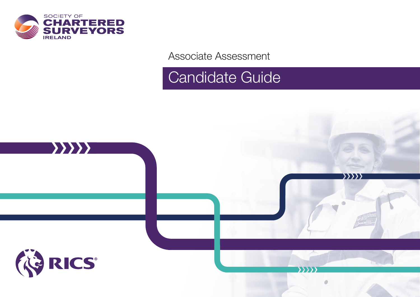

Associate Assessment

# Candidate Guide

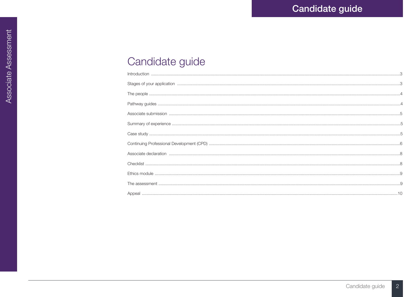| $\begin{minipage}{0.5\linewidth} \begin{tabular}{l} \textbf{Introduction} \end{tabular} \end{minipage} \end{minipage} \begin{minipage}{0.5\linewidth} \begin{tabular}{l} \textbf{Introduction} \end{tabular} \end{minipage} \end{minipage} \begin{minipage}{0.5\linewidth} \begin{tabular}{l} \textbf{Output} \end{tabular} \end{minipage} \end{minipage} \end{minipage} \begin{minipage}{0.5\linewidth} \begin{tabular}{l} \textbf{Output} \end{tabular} \end{minipage} \end{minipage} \begin{minipage}{0.5\linewidth} \begin{tabular}{l} \textbf{$ |
|------------------------------------------------------------------------------------------------------------------------------------------------------------------------------------------------------------------------------------------------------------------------------------------------------------------------------------------------------------------------------------------------------------------------------------------------------------------------------------------------------------------------------------------------------|
|                                                                                                                                                                                                                                                                                                                                                                                                                                                                                                                                                      |
|                                                                                                                                                                                                                                                                                                                                                                                                                                                                                                                                                      |
|                                                                                                                                                                                                                                                                                                                                                                                                                                                                                                                                                      |
|                                                                                                                                                                                                                                                                                                                                                                                                                                                                                                                                                      |
|                                                                                                                                                                                                                                                                                                                                                                                                                                                                                                                                                      |
|                                                                                                                                                                                                                                                                                                                                                                                                                                                                                                                                                      |
|                                                                                                                                                                                                                                                                                                                                                                                                                                                                                                                                                      |
|                                                                                                                                                                                                                                                                                                                                                                                                                                                                                                                                                      |
|                                                                                                                                                                                                                                                                                                                                                                                                                                                                                                                                                      |
|                                                                                                                                                                                                                                                                                                                                                                                                                                                                                                                                                      |
|                                                                                                                                                                                                                                                                                                                                                                                                                                                                                                                                                      |
|                                                                                                                                                                                                                                                                                                                                                                                                                                                                                                                                                      |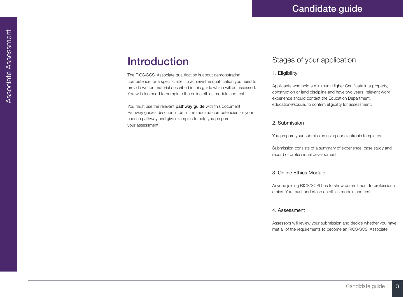## **Introduction**

The RICS/SCSI Associate qualification is about demonstrating competence for a specific role. To achieve the qualification you need to provide written material described in this guide which will be assessed. You will also need to complete the online ethics module and test.

You must use the relevant **pathway quide** with this document. Pathway guides describe in detail the required competencies for your chosen pathway and give examples to help you prepare your assessment.

### Stages of your application

#### 1. Eligibility

Applicants who hold a minimum Higher Certificate in a property, construction or land discipline and have two years' relevant work experience should contact the Education Department, education@scsi.ie, to confirm eligibility for assessment.

#### 2. Submission

You prepare your submission using our electronic templates.

Submission consists of a summary of experience, case study and record of professional development.

#### 3. Online Ethics Module

Anyone joining RICS/SCSI has to show commitment to professional ethics. You must undertake an ethics module and test.

#### 4. Assessment

Assessors will review your submission and decide whether you have met all of the requirements to become an RICS/SCSI Associate.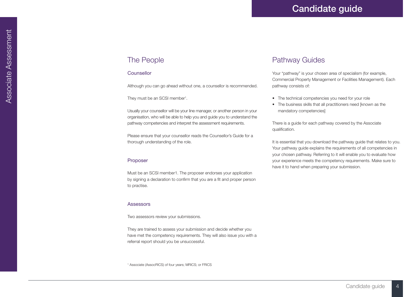### The People

#### Counsellor

Although you can go ahead without one, a counsellor is recommended.

They must be an SCSI member<sup>1</sup>.

Usually your counsellor will be your line manager, or another person in your organisation, who will be able to help you and guide you to understand the pathway competencies and interpret the assessment requirements.

Please ensure that your counsellor reads the Counsellor's Guide for a thorough understanding of the role.

#### Proposer

Must be an SCSI member1. The proposer endorses your application by signing a declaration to confirm that you are a fit and proper person to practise.

#### **Assessors**

Two assessors review your submissions.

They are trained to assess your submission and decide whether you have met the competency requirements. They will also issue you with a referral report should you be unsuccessful.

1 Associate (AssocRICS) of four years; MRICS; or FRICS

### Pathway Guides

Your "pathway" is your chosen area of specialism (for example, Commercial Property Management or Facilities Management). Each pathway consists of:

- The technical competencies you need for your role
- The business skills that all practitioners need [known as the mandatory competencies]

There is a guide for each pathway covered by the Associate qualification.

It is essential that you download the pathway guide that relates to you. Your pathway guide explains the requirements of all competencies in your chosen pathway. Referring to it will enable you to evaluate how your experience meets the competency requirements. Make sure to have it to hand when preparing your submission.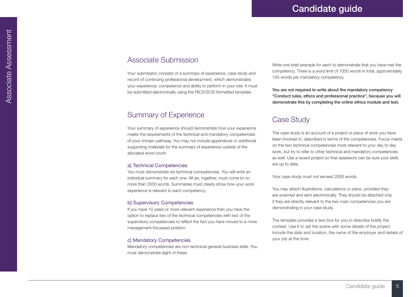### Associate Submission

Your submission consists of a summary of experience, case study and record of continuing professional development, which demonstrates your experience, competence and ability to perform in your role. It must be submitted electronically using the RICS/SCSI formatted template.

### Summary of Experience

Your summary of experience should demonstrate how your experience meets the requirements of the technical and mandatory competencies of your chosen pathway. You may not include appendices or additional supporting materials for the summary of experience outside of the allocated word count.

#### a] Technical Competencies

You must demonstrate six technical competencies. You will write an individual summary for each one. All six, together, must come to no more than 2000 words. Summaries must clearly show how your work experience is relevant to each competency.

#### b] Supervisory Competencies

If you have 10 years or more relevant experience then you have the option to replace two of the technical competencies with two of the supervisory competencies to reflect the fact you have moved to a more management-focussed position.

#### c] Mandatory Competencies

Mandatory competencies are non-technical general business skills. You must demonstrate eight of these.

Write one brief example for each to demonstrate that you have met the competency. There is a word limit of 1000 words in total, approximately 150 words per mandatory competency.

You are not required to write about the mandatory competency "Conduct rules, ethics and professional practice", because you will demonstrate this by completing the online ethics module and test.

### Case Study

The case study is an account of a project or piece of work you have been involved in, described in terms of the competencies. Focus mainly on the two technical competencies most relevant to your day to day work, but try to refer to other technical and mandatory competencies as well. Use a recent project so that assessors can be sure your skills are up to date.

Your case study must not exceed 2500 words.

You may attach illustrations, calculations or plans, provided they are scanned and sent electronically. They should be attached only if they are directly relevant to the two main competencies you are demonstrating in your case study.

The template provides a text box for you to describe briefly the context. Use it to set the scene with some details of the project. Include the date and location, the name of the employer and details of your job at the time.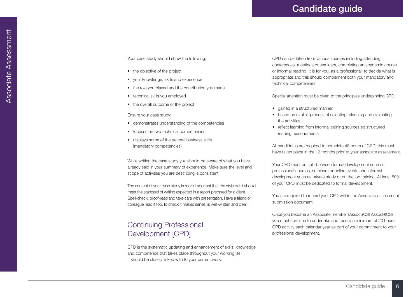Your case study should show the following:

- the objective of the project
- • your knowledge, skills and experience
- the role you played and the contribution you made
- technical skills you employed
- the overall outcome of the project

#### Ensure your case study:

- demonstrates understanding of the competencies
- focuses on two technical competencies
- displays some of the general business skills [mandatory competencies].

While writing the case study you should be aware of what you have already said in your summary of experience. Make sure the level and scope of activities you are describing is consistent.

The content of your case study is more important that the style but it should meet the standard of writing expected in a report prepared for a client. Spell-check, proof-read and take care with presentation. Have a friend or colleague read it too, to check it makes sense, is well-written and clear.

### Continuing Professional Development [CPD]

CPD is the systematic updating and enhancement of skills, knowledge and competence that takes place throughout your working life. It should be closely linked with to your current work.

CPD can be taken from various sources including attending conferences, meetings or seminars, completing an academic course or informal reading. It is for you, as a professional, to decide what is appropriate and this should complement both your mandatory and technical competencies.

Special attention must be given to the principles underpinning CPD:

- gained in a structured manner
- based on explicit process of selecting, planning and evaluating the activities
- reflect learning from informal training sources eg structured reading, secondments

All candidates are required to complete 48 hours of CPD; this must have taken place in the 12 months prior to your associate assessment.

Your CPD must be split between formal development such as professional courses, seminars or online events and informal development such as private study or on the job training. At least 50% of your CPD must be dedicated to formal development.

You are required to record your CPD within the Associate assessment submission document.

Once you become an Associate member (AssocSCSI AssocRICS) you must continue to undertake and record a minimum of 20 hours' CPD activity each calendar year as part of your commitment to your professional development.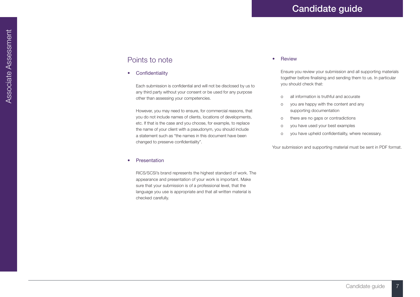### Points to note

• Confidentiality

Each submission is confidential and will not be disclosed by us to any third party without your consent or be used for any purpose other than assessing your competencies.

However, you may need to ensure, for commercial reasons, that you do not include names of clients, locations of developments, etc. If that is the case and you choose, for example, to replace the name of your client with a pseudonym, you should include a statement such as "the names in this document have been changed to preserve confidentiality".

#### **Presentation**

RICS/SCSI's brand represents the highest standard of work. The appearance and presentation of your work is important. Make sure that your submission is of a professional level, that the language you use is appropriate and that all written material is checked carefully.

#### **Review**

Ensure you review your submission and all supporting materials together before finalising and sending them to us. In particular you should check that:

- o all information is truthful and accurate
- o you are happy with the content and any supporting documentation
- o there are no gaps or contradictions
- o you have used your best examples
- o you have upheld confidentiality, where necessary.

Your submission and supporting material must be sent in PDF format.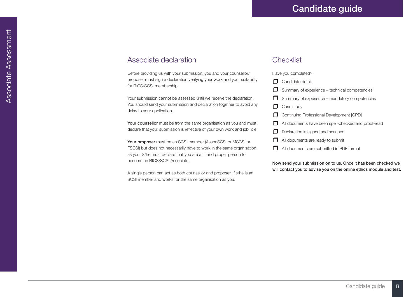### Associate declaration

Before providing us with your submission, you and your counsellor/ proposer must sign a declaration verifying your work and your suitability for RICS/SCSI membership.

Your submission cannot be assessed until we receive the declaration. You should send your submission and declaration together to avoid any delay to your application.

Your counsellor must be from the same organisation as you and must declare that your submission is reflective of your own work and job role.

Your proposer must be an SCSI member (AssocSCSI or MSCSI or FSCSI) but does not necessarily have to work in the same organisation as you. S/he must declare that you are a fit and proper person to become an RICS/SCSI Associate.

A single person can act as both counsellor and proposer, if s/he is an SCSI member and works for the same organisation as you.

### **Checklist**

Have you completed?

- ❒ Candidate details
- $\Box$  Summary of experience technical competencies
- ❒ Summary of experience mandatory competencies
- ❒ Case study
- ❒ Continuing Professional Development [CPD]
- ❒ All documents have been spell-checked and proof-read
- ❒ Declaration is signed and scanned
- ❒ All documents are ready to submit
- ❒ All documents are submitted in PDF format

Now send your submission on to us. Once it has been checked we will contact you to advise you on the online ethics module and test.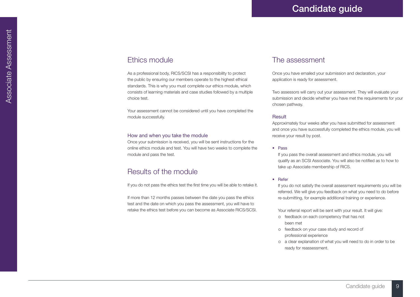### Ethics module

As a professional body, RICS/SCSI has a responsibility to protect the public by ensuring our members operate to the highest ethical standards. This is why you must complete our ethics module, which consists of learning materials and case studies followed by a multiple choice test.

Your assessment cannot be considered until you have completed the module successfully.

#### How and when you take the module

Once your submission is received, you will be sent instructions for the online ethics module and test. You will have two weeks to complete the module and pass the test.

### Results of the module

If you do not pass the ethics test the first time you will be able to retake it.

If more than 12 months passes between the date you pass the ethics test and the date on which you pass the assessment, you will have to retake the ethics test before you can become as Associate RICS/SCSI.

### The assessment

Once you have emailed your submission and declaration, your application is ready for assessment.

Two assessors will carry out your assessment. They will evaluate your submission and decide whether you have met the requirements for your chosen pathway.

#### **Result**

Approximately four weeks after you have submitted for assessment and once you have successfully completed the ethics module, you will receive your result by post.

#### • Pass

If you pass the overall assessment and ethics module, you will qualify as an SCSI Associate. You will also be notified as to how to take up Associate membership of RICS.

#### • Refer

If you do not satisfy the overall assessment requirements you will be referred. We will give you feedback on what you need to do before re-submitting, for example additional training or experience.

Your referral report will be sent with your result. It will give:

- o feedback on each competency that has not been met
- o feedback on your case study and record of professional experience
- o a clear explanation of what you will need to do in order to be ready for reassessment.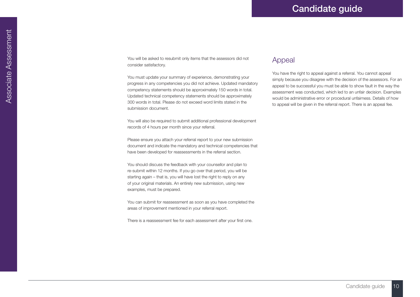You will be asked to resubmit only items that the assessors did not consider satisfactory.

You must update your summary of experience, demonstrating your progress in any competencies you did not achieve. Updated mandatory competency statements should be approximately 150 words in total. Updated technical competency statements should be approximately 300 words in total. Please do not exceed word limits stated in the submission document.

You will also be required to submit additional professional development records of 4 hours per month since your referral.

Please ensure you attach your referral report to your new submission document and indicate the mandatory and technical competencies that have been developed for reassessments in the referral section.

You should discuss the feedback with your counsellor and plan to re-submit within 12 months. If you go over that period, you will be starting again – that is, you will have lost the right to reply on any of your original materials. An entirely new submission, using new examples, must be prepared.

You can submit for reassessment as soon as you have completed the areas of improvement mentioned in your referral report.

There is a reassessment fee for each assessment after your first one.

### Appeal

You have the right to appeal against a referral. You cannot appeal simply because you disagree with the decision of the assessors. For an appeal to be successful you must be able to show fault in the way the assessment was conducted, which led to an unfair decision. Examples would be administrative error or procedural unfairness. Details of how to appeal will be given in the referral report. There is an appeal fee.